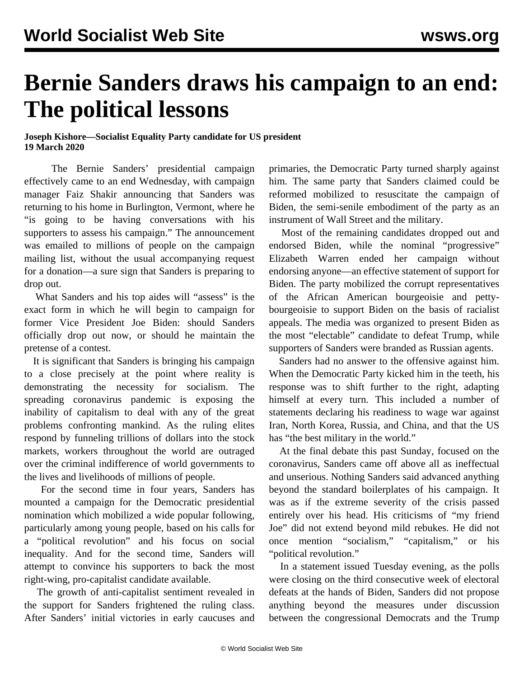## **Bernie Sanders draws his campaign to an end: The political lessons**

## **Joseph Kishore—Socialist Equality Party candidate for US president 19 March 2020**

 The Bernie Sanders' presidential campaign effectively came to an end Wednesday, with campaign manager Faiz Shakir announcing that Sanders was returning to his home in Burlington, Vermont, where he "is going to be having conversations with his supporters to assess his campaign." The announcement was emailed to millions of people on the campaign mailing list, without the usual accompanying request for a donation—a sure sign that Sanders is preparing to drop out.

 What Sanders and his top aides will "assess" is the exact form in which he will begin to campaign for former Vice President Joe Biden: should Sanders officially drop out now, or should he maintain the pretense of a contest.

 It is significant that Sanders is bringing his campaign to a close precisely at the point where reality is demonstrating the necessity for socialism. The spreading coronavirus pandemic is exposing the inability of capitalism to deal with any of the great problems confronting mankind. As the ruling elites respond by funneling trillions of dollars into the stock markets, workers throughout the world are outraged over the criminal indifference of world governments to the lives and livelihoods of millions of people.

 For the second time in four years, Sanders has mounted a campaign for the Democratic presidential nomination which mobilized a wide popular following, particularly among young people, based on his calls for a "political revolution" and his focus on social inequality. And for the second time, Sanders will attempt to convince his supporters to back the most right-wing, pro-capitalist candidate available.

 The growth of anti-capitalist sentiment revealed in the support for Sanders frightened the ruling class. After Sanders' initial victories in early caucuses and primaries, the Democratic Party turned sharply against him. The same party that Sanders claimed could be reformed mobilized to resuscitate the campaign of Biden, the semi-senile embodiment of the party as an instrument of Wall Street and the military.

 Most of the remaining candidates dropped out and endorsed Biden, while the nominal "progressive" Elizabeth Warren ended her campaign without endorsing anyone—an effective statement of support for Biden. The party mobilized the corrupt representatives of the African American bourgeoisie and pettybourgeoisie to support Biden on the basis of racialist appeals. The media was organized to present Biden as the most "electable" candidate to defeat Trump, while supporters of Sanders were branded as Russian agents.

 Sanders had no answer to the offensive against him. When the Democratic Party kicked him in the teeth, his response was to shift further to the right, adapting himself at every turn. This included a number of statements declaring [his readiness](/en/articles/2020/02/14/sand-f14.html) to wage war against Iran, North Korea, Russia, and China, and that [the US](/en/articles/2020/02/25/sand-f25.html) [has](/en/articles/2020/02/25/sand-f25.html) "the best military in the world."

 At the final debate this past Sunday, focused on the coronavirus, Sanders came off above all as ineffectual and unserious. Nothing Sanders said advanced anything beyond the standard boilerplates of his campaign. It was as if the extreme severity of the crisis passed entirely over his head. His criticisms of "my friend Joe" did not extend beyond mild rebukes. He did not once mention "socialism," "capitalism," or his "political revolution."

 In a statement issued Tuesday evening, as the polls were closing on the third consecutive week of electoral defeats at the hands of Biden, Sanders did not propose anything beyond the measures under discussion between the congressional Democrats and the Trump